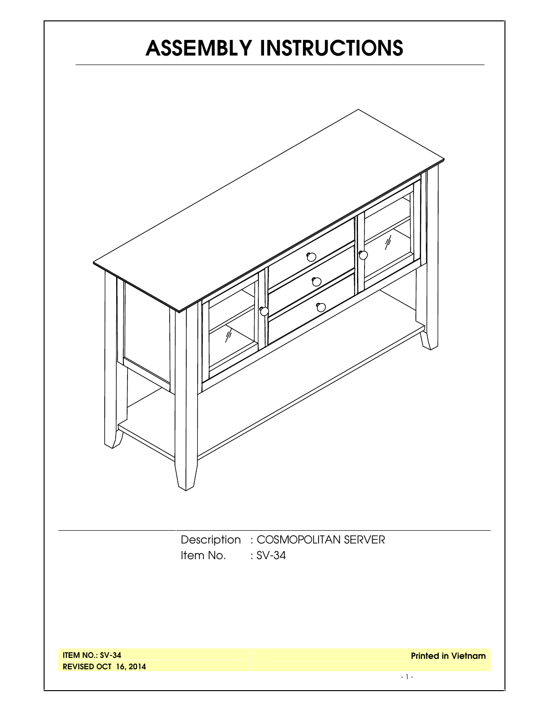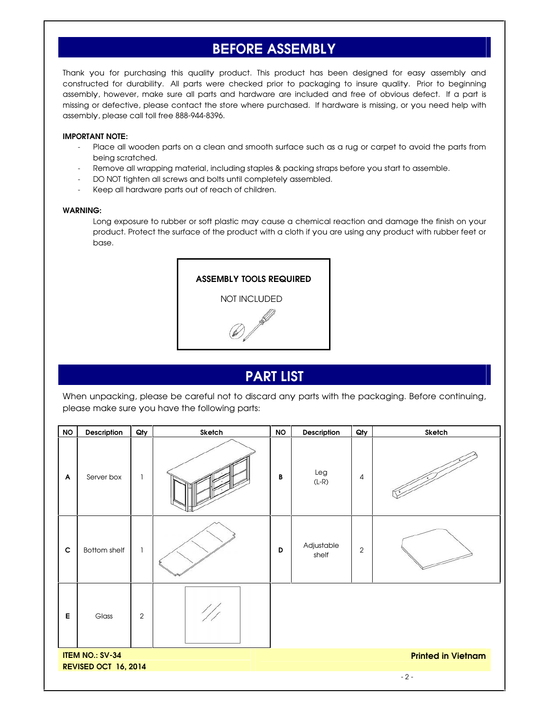# **BEFORE ASSEMBLY**

Thank you for purchasing this quality product. This product has been designed for easy assembly and constructed for durability. All parts were checked prior to packaging to insure quality. Prior to beginning assembly, however, make sure all parts and hardware are included and free of obvious defect. If a part is missing or defective, please contact the store where purchased. If hardware is missing, or you need help with assembly, please call toll free 888-944-8396.

#### **IMPORTANT NOTE:**

- Place all wooden parts on a clean and smooth surface such as a rug or carpet to avoid the parts from being scratched.
- Remove all wrapping material, including staples & packing straps before you start to assemble.
- DO NOT tighten all screws and bolts until completely assembled.
- Keep all hardware parts out of reach of children.

#### **WARNING:**

Long exposure to rubber or soft plastic may cause a chemical reaction and damage the finish on your product. Protect the surface of the product with a cloth if you are using any product with rubber feet or base.



### **PART LIST**

When unpacking, please be careful not to discard any parts with the packaging. Before continuing, please make sure you have the following parts:

| <b>NO</b>                 | Description                                    | Qty          | Sketch | <b>NO</b> | Description         | Qty            | Sketch                    |
|---------------------------|------------------------------------------------|--------------|--------|-----------|---------------------|----------------|---------------------------|
| $\boldsymbol{\mathsf{A}}$ | Server box                                     | $\mathbf{1}$ |        | B         | Leg<br>$(L-R)$      | 4              |                           |
| $\mathbf c$               | Bottom shelf                                   | $\mathbf{1}$ |        | D         | Adjustable<br>shelf | $\overline{2}$ |                           |
| E                         | Glass                                          | $\sqrt{2}$   |        |           |                     |                |                           |
|                           | <b>ITEM NO.: SV-34</b><br>REVISED OCT 16, 2014 |              |        |           |                     |                | <b>Printed in Vietnam</b> |
|                           |                                                |              |        |           |                     |                | $-2-$                     |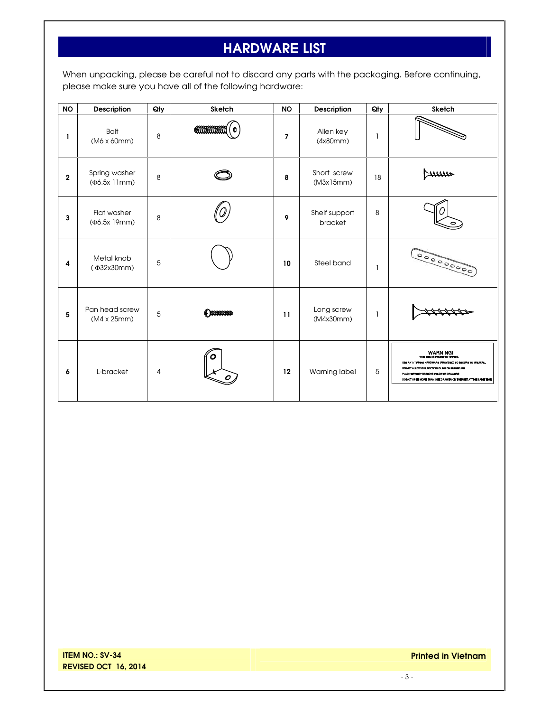# **HARDWARE LIST**

When unpacking, please be careful not to discard any parts with the packaging. Before continuing, please make sure you have all of the following hardware:

| <b>NO</b>   | <b>Description</b>                    | Qty            | <b>Sketch</b>    | <b>NO</b> | Description              | Qty | <b>Sketch</b>                                                                                                                                                                                                                                                             |
|-------------|---------------------------------------|----------------|------------------|-----------|--------------------------|-----|---------------------------------------------------------------------------------------------------------------------------------------------------------------------------------------------------------------------------------------------------------------------------|
| L           | <b>Bolt</b><br>$(M6 \times 60$ mm $)$ | 8              | <b>COMMONANT</b> | 7         | Allen key<br>(4x80mm)    | ı   |                                                                                                                                                                                                                                                                           |
| $\mathbf 2$ | Spring washer<br>$(\Phi6.5x 11mm)$    | 8              |                  | 8         | Short screw<br>(M3x15mm) | 18  |                                                                                                                                                                                                                                                                           |
| 3           | Flat washer<br>(Фб.5х 19mm)           | 8              |                  | 9         | Shelf support<br>bracket | 8   |                                                                                                                                                                                                                                                                           |
| 4           | Metal knob<br>(Ф32х30mm)              | 5              |                  | 10        | Steel band               | ı   | 000000000                                                                                                                                                                                                                                                                 |
| 5           | Pan head screw<br>(M4 x 25mm)         | 5              | Common           | 11        | Long screw<br>(M4x30mm)  | ı   |                                                                                                                                                                                                                                                                           |
| 6           | L-bracket                             | $\overline{4}$ | O                | 12        | Warning label            | 5   | <b>WARNINGI</b><br>THIS ITEM IS PROVE TO TIPPING.<br>USE ANTI-TIPPING HARDWARE (PROVIDED) TO SECURE TO THE WALL<br>DO NOT ALLOW CHILDREN TO CLIMB ON FURNITURE<br>PLAC HEAVIEST OBJECTS IN LOWER DRAWERS<br>DO NOT OPEN MORE THAN ONE DRAWER ON THE UNIT AT THE SAME TIME |

**Printed in Vietnam**

- 3 -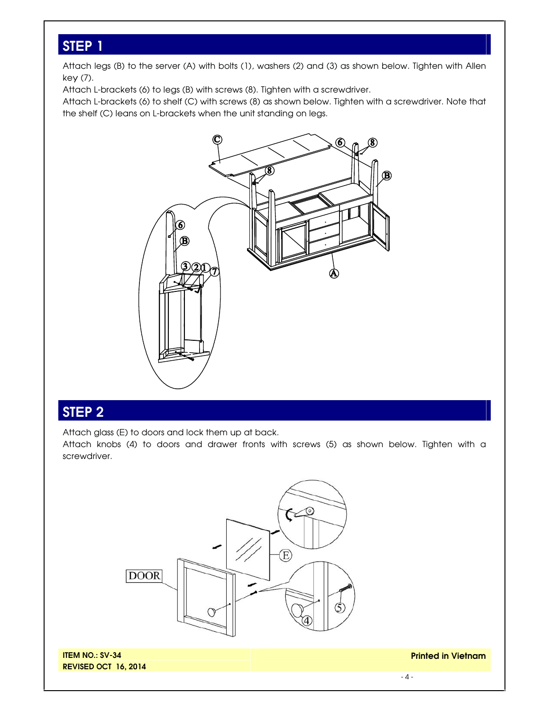# **STEP 1**

Attach legs (B) to the server (A) with bolts (1), washers (2) and (3) as shown below. Tighten with Allen key (7).

Attach L-brackets (6) to legs (B) with screws (8). Tighten with a screwdriver.

Attach L-brackets (6) to shelf (C) with screws (8) as shown below. Tighten with a screwdriver. Note that the shelf (C) leans on L-brackets when the unit standing on legs.



### **STEP 2**

Attach glass (E) to doors and lock them up at back.

Attach knobs (4) to doors and drawer fronts with screws (5) as shown below. Tighten with a screwdriver.



**ITEM NO.: SV-34 REVISED OCT 16, 2014** **Printed in Vietnam**